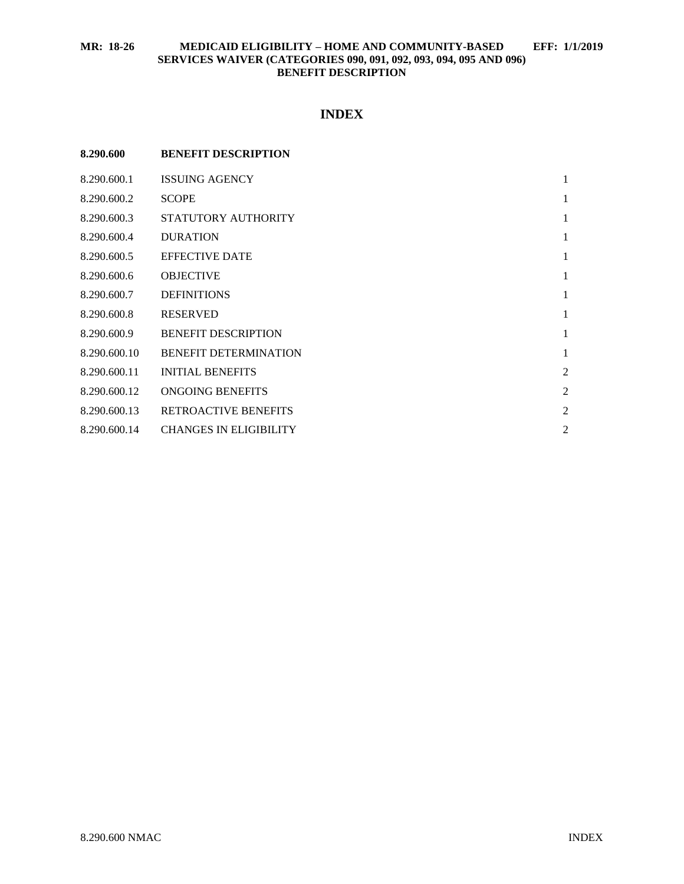# **INDEX**

| 8.290.600    | <b>BENEFIT DESCRIPTION</b>    |                |
|--------------|-------------------------------|----------------|
| 8.290.600.1  | <b>ISSUING AGENCY</b>         | 1              |
| 8.290.600.2  | <b>SCOPE</b>                  | 1              |
| 8.290.600.3  | STATUTORY AUTHORITY           | 1              |
| 8.290.600.4  | <b>DURATION</b>               | 1              |
| 8.290.600.5  | <b>EFFECTIVE DATE</b>         | 1              |
| 8.290.600.6  | <b>OBJECTIVE</b>              | 1              |
| 8.290.600.7  | <b>DEFINITIONS</b>            | 1              |
| 8.290.600.8  | <b>RESERVED</b>               | 1              |
| 8.290.600.9  | <b>BENEFIT DESCRIPTION</b>    | 1              |
| 8.290.600.10 | <b>BENEFIT DETERMINATION</b>  | 1              |
| 8.290.600.11 | <b>INITIAL BENEFITS</b>       | $\overline{2}$ |
| 8.290.600.12 | ONGOING BENEFITS              | $\overline{2}$ |
| 8.290.600.13 | <b>RETROACTIVE BENEFITS</b>   | $\overline{c}$ |
| 8.290.600.14 | <b>CHANGES IN ELIGIBILITY</b> | $\overline{c}$ |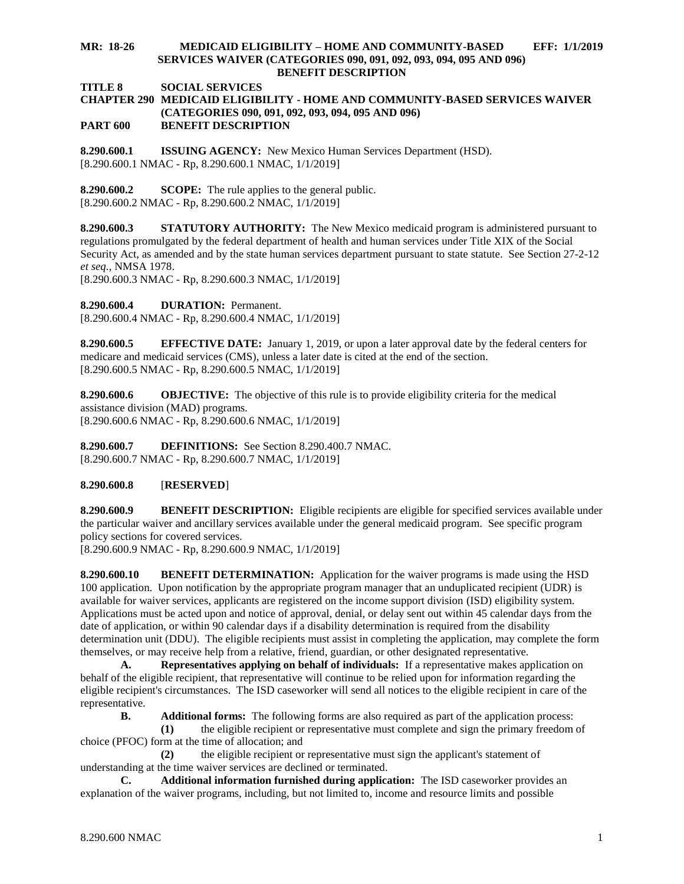**TITLE 8 SOCIAL SERVICES**

#### **CHAPTER 290 MEDICAID ELIGIBILITY - HOME AND COMMUNITY-BASED SERVICES WAIVER (CATEGORIES 090, 091, 092, 093, 094, 095 AND 096) PART 600 BENEFIT DESCRIPTION**

<span id="page-1-0"></span>**8.290.600.1 ISSUING AGENCY:** New Mexico Human Services Department (HSD). [8.290.600.1 NMAC - Rp, 8.290.600.1 NMAC, 1/1/2019]

<span id="page-1-1"></span>**8.290.600.2 SCOPE:** The rule applies to the general public. [8.290.600.2 NMAC - Rp, 8.290.600.2 NMAC, 1/1/2019]

<span id="page-1-2"></span>**8.290.600.3 STATUTORY AUTHORITY:** The New Mexico medicaid program is administered pursuant to regulations promulgated by the federal department of health and human services under Title XIX of the Social Security Act, as amended and by the state human services department pursuant to state statute. See Section 27-2-12 *et seq.*, NMSA 1978.

[8.290.600.3 NMAC - Rp, 8.290.600.3 NMAC, 1/1/2019]

<span id="page-1-3"></span>**8.290.600.4 DURATION:** Permanent.

[8.290.600.4 NMAC - Rp, 8.290.600.4 NMAC, 1/1/2019]

<span id="page-1-4"></span>**8.290.600.5 EFFECTIVE DATE:** January 1, 2019, or upon a later approval date by the federal centers for medicare and medicaid services (CMS), unless a later date is cited at the end of the section. [8.290.600.5 NMAC - Rp, 8.290.600.5 NMAC, 1/1/2019]

<span id="page-1-5"></span>**8.290.600.6 OBJECTIVE:** The objective of this rule is to provide eligibility criteria for the medical assistance division (MAD) programs. [8.290.600.6 NMAC - Rp, 8.290.600.6 NMAC, 1/1/2019]

<span id="page-1-6"></span>**8.290.600.7 DEFINITIONS:** See Section 8.290.400.7 NMAC. [8.290.600.7 NMAC - Rp, 8.290.600.7 NMAC, 1/1/2019]

### <span id="page-1-7"></span>**8.290.600.8** [**RESERVED**]

<span id="page-1-8"></span>**8.290.600.9 BENEFIT DESCRIPTION:** Eligible recipients are eligible for specified services available under the particular waiver and ancillary services available under the general medicaid program. See specific program policy sections for covered services.

[8.290.600.9 NMAC - Rp, 8.290.600.9 NMAC, 1/1/2019]

<span id="page-1-9"></span>**8.290.600.10 BENEFIT DETERMINATION:** Application for the waiver programs is made using the HSD 100 application. Upon notification by the appropriate program manager that an unduplicated recipient (UDR) is available for waiver services, applicants are registered on the income support division (ISD) eligibility system. Applications must be acted upon and notice of approval, denial, or delay sent out within 45 calendar days from the date of application, or within 90 calendar days if a disability determination is required from the disability determination unit (DDU). The eligible recipients must assist in completing the application, may complete the form themselves, or may receive help from a relative, friend, guardian, or other designated representative.

**A. Representatives applying on behalf of individuals:** If a representative makes application on behalf of the eligible recipient, that representative will continue to be relied upon for information regarding the eligible recipient's circumstances. The ISD caseworker will send all notices to the eligible recipient in care of the representative.

**B. Additional forms:** The following forms are also required as part of the application process:

**(1)** the eligible recipient or representative must complete and sign the primary freedom of choice (PFOC) form at the time of allocation; and

**(2)** the eligible recipient or representative must sign the applicant's statement of understanding at the time waiver services are declined or terminated.

**C. Additional information furnished during application:** The ISD caseworker provides an explanation of the waiver programs, including, but not limited to, income and resource limits and possible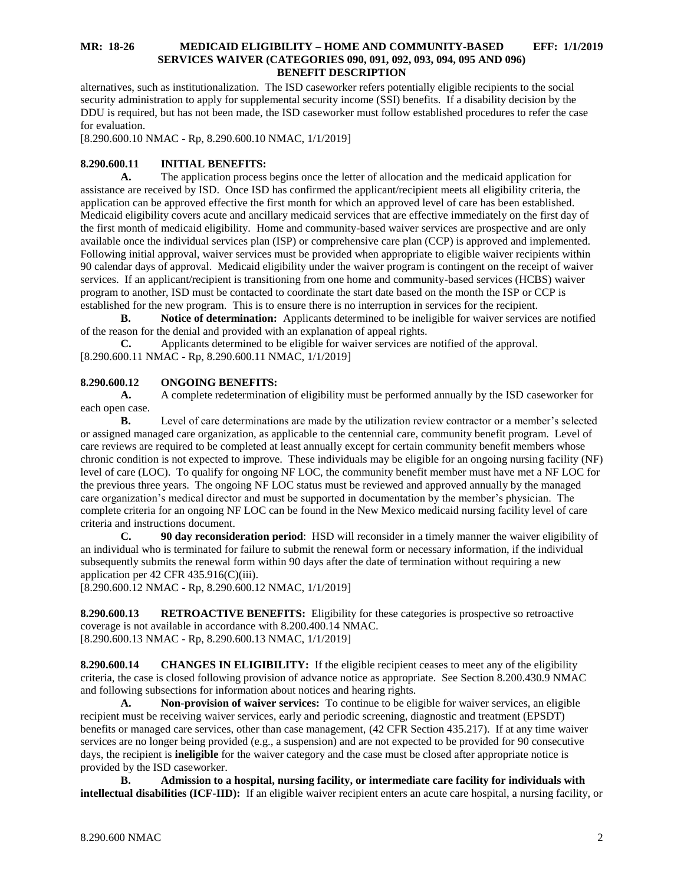alternatives, such as institutionalization. The ISD caseworker refers potentially eligible recipients to the social security administration to apply for supplemental security income (SSI) benefits. If a disability decision by the DDU is required, but has not been made, the ISD caseworker must follow established procedures to refer the case for evaluation.

[8.290.600.10 NMAC - Rp, 8.290.600.10 NMAC, 1/1/2019]

## <span id="page-2-0"></span>**8.290.600.11 INITIAL BENEFITS:**

**A.** The application process begins once the letter of allocation and the medicaid application for assistance are received by ISD. Once ISD has confirmed the applicant/recipient meets all eligibility criteria, the application can be approved effective the first month for which an approved level of care has been established. Medicaid eligibility covers acute and ancillary medicaid services that are effective immediately on the first day of the first month of medicaid eligibility. Home and community-based waiver services are prospective and are only available once the individual services plan (ISP) or comprehensive care plan (CCP) is approved and implemented. Following initial approval, waiver services must be provided when appropriate to eligible waiver recipients within 90 calendar days of approval. Medicaid eligibility under the waiver program is contingent on the receipt of waiver services. If an applicant/recipient is transitioning from one home and community-based services (HCBS) waiver program to another, ISD must be contacted to coordinate the start date based on the month the ISP or CCP is established for the new program. This is to ensure there is no interruption in services for the recipient.

**B. Notice of determination:** Applicants determined to be ineligible for waiver services are notified of the reason for the denial and provided with an explanation of appeal rights.

**C.** Applicants determined to be eligible for waiver services are notified of the approval. [8.290.600.11 NMAC - Rp, 8.290.600.11 NMAC, 1/1/2019]

### <span id="page-2-1"></span>**8.290.600.12 ONGOING BENEFITS:**

**A.** A complete redetermination of eligibility must be performed annually by the ISD caseworker for each open case.

**B.** Level of care determinations are made by the utilization review contractor or a member's selected or assigned managed care organization, as applicable to the centennial care, community benefit program. Level of care reviews are required to be completed at least annually except for certain community benefit members whose chronic condition is not expected to improve. These individuals may be eligible for an ongoing nursing facility (NF) level of care (LOC). To qualify for ongoing NF LOC, the community benefit member must have met a NF LOC for the previous three years. The ongoing NF LOC status must be reviewed and approved annually by the managed care organization's medical director and must be supported in documentation by the member's physician. The complete criteria for an ongoing NF LOC can be found in the New Mexico medicaid nursing facility level of care criteria and instructions document.

**C. 90 day reconsideration period**: HSD will reconsider in a timely manner the waiver eligibility of an individual who is terminated for failure to submit the renewal form or necessary information, if the individual subsequently submits the renewal form within 90 days after the date of termination without requiring a new application per 42 CFR 435.916(C)(iii).

[8.290.600.12 NMAC - Rp, 8.290.600.12 NMAC, 1/1/2019]

<span id="page-2-2"></span>**8.290.600.13 RETROACTIVE BENEFITS:** Eligibility for these categories is prospective so retroactive coverage is not available in accordance with 8.200.400.14 NMAC. [8.290.600.13 NMAC - Rp, 8.290.600.13 NMAC, 1/1/2019]

<span id="page-2-3"></span>**8.290.600.14 CHANGES IN ELIGIBILITY:** If the eligible recipient ceases to meet any of the eligibility criteria, the case is closed following provision of advance notice as appropriate. See Section 8.200.430.9 NMAC and following subsections for information about notices and hearing rights.

**A. Non-provision of waiver services:** To continue to be eligible for waiver services, an eligible recipient must be receiving waiver services, early and periodic screening, diagnostic and treatment (EPSDT) benefits or managed care services, other than case management, (42 CFR Section 435.217). If at any time waiver services are no longer being provided (e.g., a suspension) and are not expected to be provided for 90 consecutive days, the recipient is **ineligible** for the waiver category and the case must be closed after appropriate notice is provided by the ISD caseworker.

**B. Admission to a hospital, nursing facility, or intermediate care facility for individuals with intellectual disabilities (ICF-IID):** If an eligible waiver recipient enters an acute care hospital, a nursing facility, or